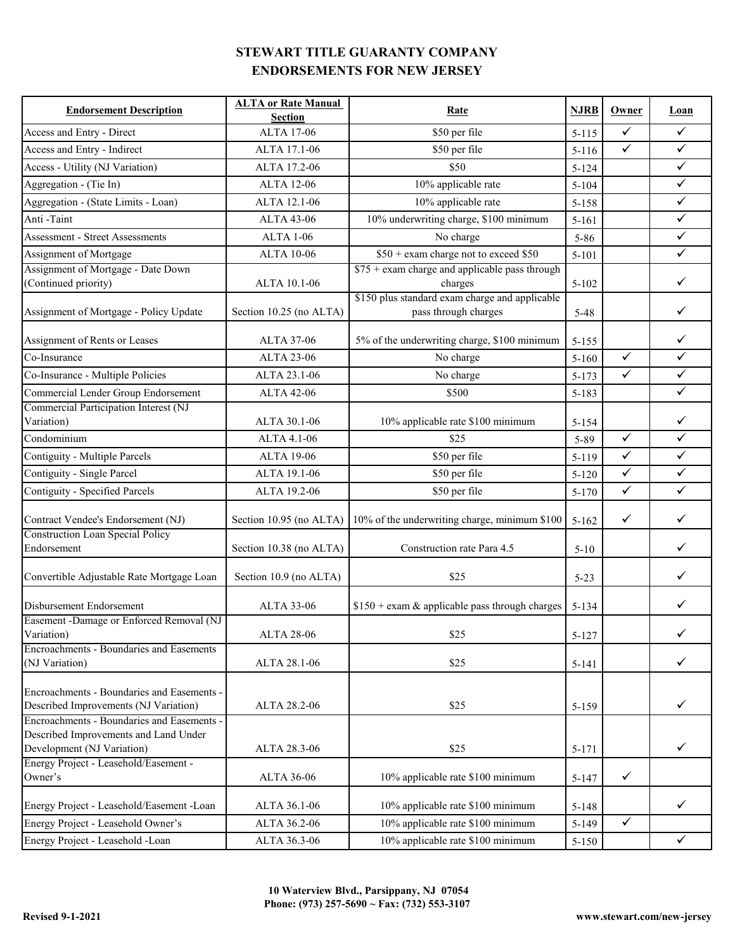| <b>Endorsement Description</b>                                                                                    | <b>ALTA or Rate Manual</b><br><b>Section</b> | <b>Rate</b>                                                            | <b>NJRB</b> | Owner        | Loan         |
|-------------------------------------------------------------------------------------------------------------------|----------------------------------------------|------------------------------------------------------------------------|-------------|--------------|--------------|
| Access and Entry - Direct                                                                                         | <b>ALTA 17-06</b>                            | \$50 per file                                                          | $5 - 115$   | $\sqrt{}$    | $\checkmark$ |
| Access and Entry - Indirect                                                                                       | ALTA 17.1-06                                 | \$50 per file                                                          | $5 - 116$   | $\checkmark$ | $\checkmark$ |
| Access - Utility (NJ Variation)                                                                                   | ALTA 17.2-06                                 | \$50                                                                   | $5 - 124$   |              | $\checkmark$ |
| Aggregation - (Tie In)                                                                                            | <b>ALTA 12-06</b>                            | 10% applicable rate                                                    | $5 - 104$   |              | $\checkmark$ |
| Aggregation - (State Limits - Loan)                                                                               | ALTA 12.1-06                                 | 10% applicable rate                                                    | 5-158       |              | $\checkmark$ |
| Anti-Taint                                                                                                        | ALTA 43-06                                   | 10% underwriting charge, \$100 minimum                                 | $5 - 161$   |              | $\checkmark$ |
| <b>Assessment - Street Assessments</b>                                                                            | <b>ALTA 1-06</b>                             | No charge                                                              | $5 - 86$    |              | $\checkmark$ |
| Assignment of Mortgage                                                                                            | <b>ALTA 10-06</b>                            | \$50 + exam charge not to exceed \$50                                  | $5 - 101$   |              | $\checkmark$ |
| Assignment of Mortgage - Date Down                                                                                |                                              | $$75 + e$ xam charge and applicable pass through                       |             |              |              |
| (Continued priority)                                                                                              | ALTA 10.1-06                                 | charges                                                                | $5 - 102$   |              | $\checkmark$ |
| Assignment of Mortgage - Policy Update                                                                            | Section 10.25 (no ALTA)                      | \$150 plus standard exam charge and applicable<br>pass through charges | $5 - 48$    |              | $\checkmark$ |
| Assignment of Rents or Leases                                                                                     | <b>ALTA 37-06</b>                            | 5% of the underwriting charge, \$100 minimum                           | $5 - 155$   |              | $\checkmark$ |
| Co-Insurance                                                                                                      | ALTA 23-06                                   | No charge                                                              | $5 - 160$   | $\checkmark$ | $\checkmark$ |
| Co-Insurance - Multiple Policies                                                                                  | ALTA 23.1-06                                 | No charge                                                              | $5 - 173$   | $\checkmark$ | $\checkmark$ |
| Commercial Lender Group Endorsement                                                                               | ALTA 42-06                                   | \$500                                                                  | $5 - 183$   |              | $\checkmark$ |
| Commercial Participation Interest (NJ                                                                             |                                              |                                                                        |             |              |              |
| Variation)                                                                                                        | ALTA 30.1-06                                 | 10% applicable rate \$100 minimum                                      | $5 - 154$   |              | ✓            |
| Condominium                                                                                                       | ALTA 4.1-06                                  | \$25                                                                   | 5-89        | $\checkmark$ | $\checkmark$ |
| Contiguity - Multiple Parcels                                                                                     | <b>ALTA 19-06</b>                            | \$50 per file                                                          | $5 - 119$   | $\checkmark$ | $\checkmark$ |
| Contiguity - Single Parcel                                                                                        | ALTA 19.1-06                                 | \$50 per file                                                          | $5 - 120$   | $\checkmark$ | $\checkmark$ |
| Contiguity - Specified Parcels                                                                                    | ALTA 19.2-06                                 | \$50 per file                                                          | $5 - 170$   | $\checkmark$ | $\checkmark$ |
| Contract Vendee's Endorsement (NJ)                                                                                |                                              | Section 10.95 (no ALTA) 10% of the underwriting charge, minimum \$100  | $5 - 162$   | $\checkmark$ | $\checkmark$ |
| <b>Construction Loan Special Policy</b><br>Endorsement                                                            | Section 10.38 (no ALTA)                      | Construction rate Para 4.5                                             | $5 - 10$    |              | ✓            |
| Convertible Adjustable Rate Mortgage Loan                                                                         | Section 10.9 (no ALTA)                       | \$25                                                                   | $5 - 23$    |              | ✓            |
| Disbursement Endorsement                                                                                          | ALTA 33-06                                   | $$150 + e$ xam & applicable pass through charges                       | $5 - 134$   |              | ✓            |
| Easement -Damage or Enforced Removal (NJ<br>Variation)                                                            | <b>ALTA 28-06</b>                            | \$25                                                                   | $5 - 127$   |              | ✓            |
| Encroachments - Boundaries and Easements<br>(NJ Variation)                                                        | ALTA 28.1-06                                 | \$25                                                                   | $5 - 141$   |              | $\checkmark$ |
| Encroachments - Boundaries and Easements -<br>Described Improvements (NJ Variation)                               | ALTA 28.2-06                                 | \$25                                                                   | 5-159       |              | $\checkmark$ |
| Encroachments - Boundaries and Easements -<br>Described Improvements and Land Under<br>Development (NJ Variation) | ALTA 28.3-06                                 | \$25                                                                   | $5 - 171$   |              | $\checkmark$ |
| Energy Project - Leasehold/Easement -<br>Owner's                                                                  | ALTA 36-06                                   | 10% applicable rate \$100 minimum                                      | $5 - 147$   | $\checkmark$ |              |
| Energy Project - Leasehold/Easement -Loan                                                                         | ALTA 36.1-06                                 | 10% applicable rate \$100 minimum                                      | $5 - 148$   |              | $\checkmark$ |
| Energy Project - Leasehold Owner's                                                                                | ALTA 36.2-06                                 | 10% applicable rate \$100 minimum                                      | $5-149$     | $\checkmark$ |              |
| Energy Project - Leasehold -Loan                                                                                  | ALTA 36.3-06                                 | 10% applicable rate \$100 minimum                                      | $5 - 150$   |              | $\checkmark$ |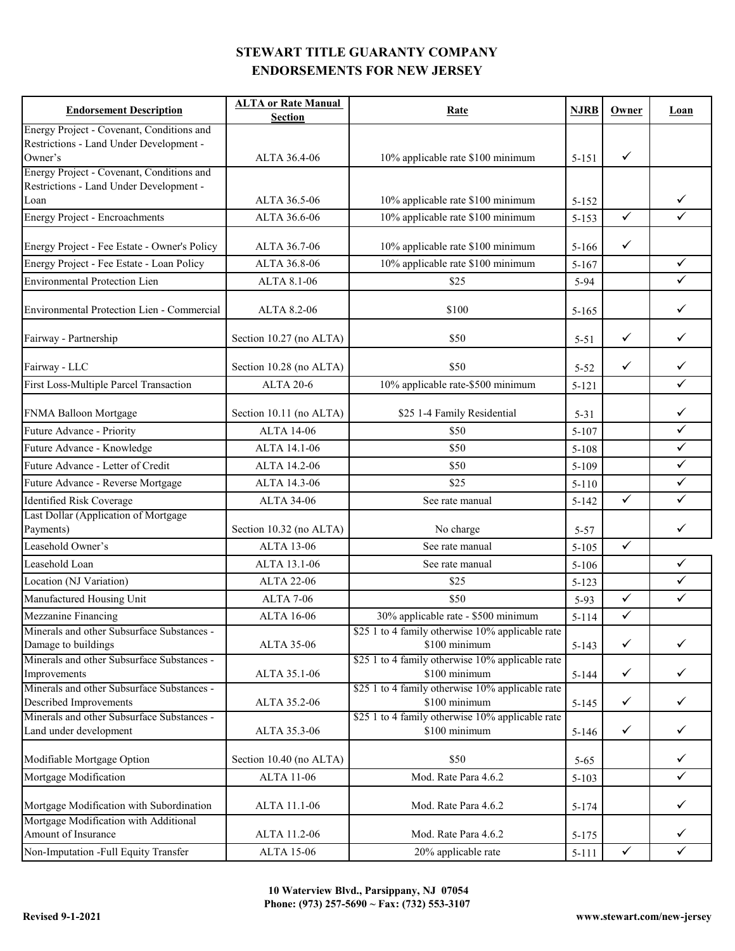| <b>Endorsement Description</b>                                                       | <b>ALTA or Rate Manual</b> | Rate                                                              | <b>NJRB</b> | Owner        | Loan         |
|--------------------------------------------------------------------------------------|----------------------------|-------------------------------------------------------------------|-------------|--------------|--------------|
|                                                                                      | <b>Section</b>             |                                                                   |             |              |              |
| Energy Project - Covenant, Conditions and<br>Restrictions - Land Under Development - |                            |                                                                   |             |              |              |
| Owner's                                                                              | ALTA 36.4-06               | 10% applicable rate \$100 minimum                                 | $5 - 151$   | ✓            |              |
| Energy Project - Covenant, Conditions and                                            |                            |                                                                   |             |              |              |
| Restrictions - Land Under Development -                                              |                            |                                                                   |             |              |              |
| Loan                                                                                 | ALTA 36.5-06               | 10% applicable rate \$100 minimum                                 | $5 - 152$   |              | ✓            |
| <b>Energy Project - Encroachments</b>                                                | ALTA 36.6-06               | 10% applicable rate \$100 minimum                                 | $5 - 153$   | $\checkmark$ | $\checkmark$ |
| Energy Project - Fee Estate - Owner's Policy                                         | ALTA 36.7-06               | 10% applicable rate \$100 minimum                                 | $5 - 166$   | $\checkmark$ |              |
| Energy Project - Fee Estate - Loan Policy                                            | ALTA 36.8-06               | 10% applicable rate \$100 minimum                                 | $5 - 167$   |              | $\checkmark$ |
| <b>Environmental Protection Lien</b>                                                 | ALTA 8.1-06                | \$25                                                              | 5-94        |              | $\checkmark$ |
|                                                                                      |                            |                                                                   |             |              |              |
| Environmental Protection Lien - Commercial                                           | ALTA 8.2-06                | \$100                                                             | $5 - 165$   |              | $\checkmark$ |
| Fairway - Partnership                                                                | Section 10.27 (no ALTA)    | \$50                                                              | $5 - 51$    | $\checkmark$ | $\checkmark$ |
| Fairway - LLC                                                                        | Section 10.28 (no ALTA)    | \$50                                                              | $5 - 52$    | $\checkmark$ | $\checkmark$ |
| First Loss-Multiple Parcel Transaction                                               | <b>ALTA 20-6</b>           | 10% applicable rate-\$500 minimum                                 | $5 - 121$   |              | $\checkmark$ |
| FNMA Balloon Mortgage                                                                | Section 10.11 (no ALTA)    | \$25 1-4 Family Residential                                       | $5 - 31$    |              | $\checkmark$ |
| Future Advance - Priority                                                            | <b>ALTA 14-06</b>          | \$50                                                              | $5 - 107$   |              | $\checkmark$ |
| Future Advance - Knowledge                                                           | ALTA 14.1-06               | \$50                                                              | $5 - 108$   |              | $\checkmark$ |
| Future Advance - Letter of Credit                                                    | ALTA 14.2-06               | \$50                                                              | 5-109       |              | $\checkmark$ |
| Future Advance - Reverse Mortgage                                                    | ALTA 14.3-06               | \$25                                                              |             |              | $\checkmark$ |
|                                                                                      |                            |                                                                   | $5 - 110$   | $\checkmark$ | $\checkmark$ |
| Identified Risk Coverage<br>Last Dollar (Application of Mortgage                     | ALTA 34-06                 | See rate manual                                                   | $5 - 142$   |              |              |
| Payments)                                                                            | Section 10.32 (no ALTA)    | No charge                                                         | $5 - 57$    |              | ✓            |
| Leasehold Owner's                                                                    | <b>ALTA 13-06</b>          | See rate manual                                                   | $5 - 105$   | $\checkmark$ |              |
| Leasehold Loan                                                                       | ALTA 13.1-06               | See rate manual                                                   | $5 - 106$   |              | $\checkmark$ |
|                                                                                      |                            |                                                                   |             |              |              |
| Location (NJ Variation)                                                              | <b>ALTA 22-06</b>          | \$25                                                              | $5 - 123$   |              | ✓            |
| Manufactured Housing Unit                                                            | <b>ALTA 7-06</b>           | \$50                                                              | $5-93$      | $\checkmark$ | $\checkmark$ |
| Mezzanine Financing                                                                  | ALTA 16-06                 | 30% applicable rate - \$500 minimum                               | $5 - 114$   | $\checkmark$ |              |
| Minerals and other Subsurface Substances -                                           |                            | \$25 1 to 4 family otherwise 10% applicable rate                  |             |              |              |
| Damage to buildings<br>Minerals and other Subsurface Substances -                    | ALTA 35-06                 | \$100 minimum<br>\$25 1 to 4 family otherwise 10% applicable rate | $5 - 143$   | $\checkmark$ | $\checkmark$ |
| Improvements                                                                         | ALTA 35.1-06               | \$100 minimum                                                     | $5 - 144$   | $\checkmark$ | $\checkmark$ |
| Minerals and other Subsurface Substances -                                           |                            | \$25 1 to 4 family otherwise 10% applicable rate                  |             |              |              |
| Described Improvements                                                               | ALTA 35.2-06               | \$100 minimum                                                     | $5 - 145$   | $\checkmark$ | $\checkmark$ |
| Minerals and other Subsurface Substances -                                           |                            | \$25 1 to 4 family otherwise 10% applicable rate                  |             |              |              |
| Land under development                                                               | ALTA 35.3-06               | \$100 minimum                                                     | $5 - 146$   | $\checkmark$ | $\checkmark$ |
| Modifiable Mortgage Option                                                           | Section 10.40 (no ALTA)    | \$50                                                              | $5 - 65$    |              | $\checkmark$ |
| Mortgage Modification                                                                | <b>ALTA 11-06</b>          | Mod. Rate Para 4.6.2                                              | $5 - 103$   |              | $\checkmark$ |
| Mortgage Modification with Subordination                                             | ALTA 11.1-06               | Mod. Rate Para 4.6.2                                              | 5-174       |              | $\checkmark$ |
| Mortgage Modification with Additional                                                |                            |                                                                   |             |              |              |
| Amount of Insurance                                                                  | ALTA 11.2-06               | Mod. Rate Para 4.6.2                                              | $5 - 175$   |              | $\checkmark$ |
| Non-Imputation -Full Equity Transfer                                                 | <b>ALTA 15-06</b>          | 20% applicable rate                                               | $5 - 111$   | $\checkmark$ | $\checkmark$ |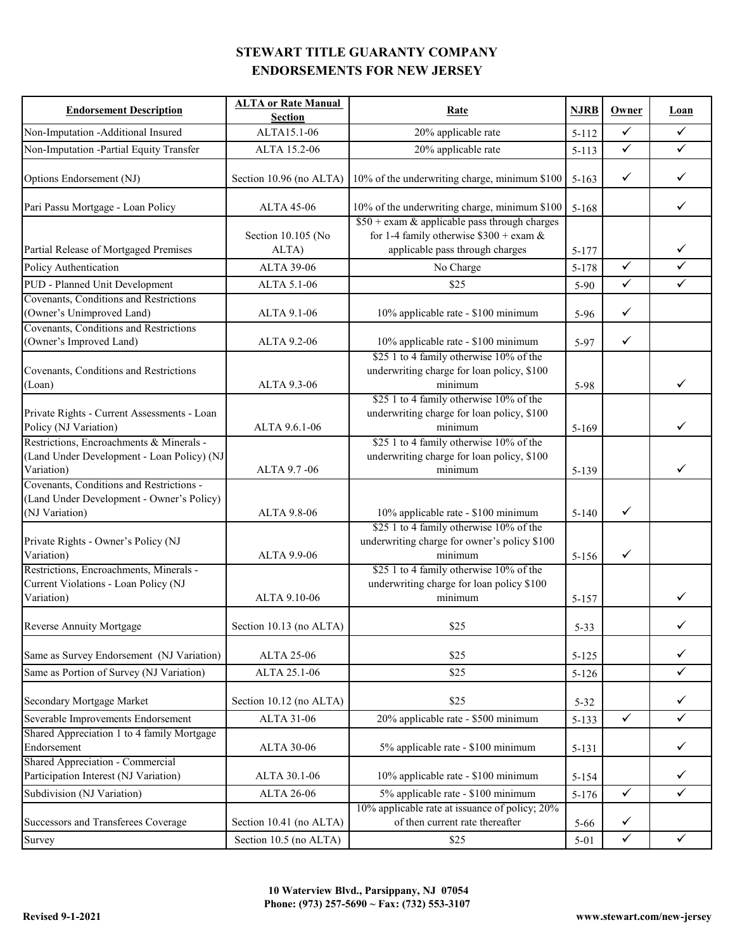| <b>Endorsement Description</b>                                                                          | <b>ALTA or Rate Manual</b><br><b>Section</b> | Rate                                                                                                                            | <b>NJRB</b> | Owner        | Loan         |
|---------------------------------------------------------------------------------------------------------|----------------------------------------------|---------------------------------------------------------------------------------------------------------------------------------|-------------|--------------|--------------|
| Non-Imputation -Additional Insured                                                                      | ALTA15.1-06                                  | 20% applicable rate                                                                                                             | $5 - 112$   | $\checkmark$ | $\checkmark$ |
| Non-Imputation -Partial Equity Transfer                                                                 | ALTA 15.2-06                                 | 20% applicable rate                                                                                                             | $5 - 113$   | $\checkmark$ | $\checkmark$ |
| Options Endorsement (NJ)                                                                                |                                              | Section 10.96 (no ALTA) 10% of the underwriting charge, minimum \$100                                                           | $5 - 163$   | $\checkmark$ | ✓            |
| Pari Passu Mortgage - Loan Policy                                                                       | <b>ALTA 45-06</b>                            | 10% of the underwriting charge, minimum \$100                                                                                   | $5 - 168$   |              | ✓            |
| Partial Release of Mortgaged Premises                                                                   | Section 10.105 (No<br>ALTA)                  | $$50 + e$ xam & applicable pass through charges<br>for 1-4 family otherwise $$300 + e$ xam &<br>applicable pass through charges | 5-177       |              | ✓            |
| Policy Authentication                                                                                   | ALTA 39-06                                   | No Charge                                                                                                                       | 5-178       | $\checkmark$ | $\checkmark$ |
| PUD - Planned Unit Development                                                                          | ALTA 5.1-06                                  | \$25                                                                                                                            | 5-90        | $\checkmark$ | $\checkmark$ |
| Covenants, Conditions and Restrictions<br>(Owner's Unimproved Land)                                     | ALTA 9.1-06                                  | 10% applicable rate - \$100 minimum                                                                                             | 5-96        | $\checkmark$ |              |
| Covenants, Conditions and Restrictions<br>(Owner's Improved Land)                                       | ALTA 9.2-06                                  | 10% applicable rate - \$100 minimum                                                                                             | 5-97        | $\checkmark$ |              |
| Covenants, Conditions and Restrictions<br>(Loan)                                                        | ALTA 9.3-06                                  | \$25 1 to 4 family otherwise 10% of the<br>underwriting charge for loan policy, \$100<br>minimum                                | 5-98        |              | ✓            |
| Private Rights - Current Assessments - Loan<br>Policy (NJ Variation)                                    | ALTA 9.6.1-06                                | \$25 1 to 4 family otherwise 10% of the<br>underwriting charge for loan policy, \$100<br>minimum                                | $5 - 169$   |              | ✓            |
| Restrictions, Encroachments & Minerals -<br>(Land Under Development - Loan Policy) (NJ<br>Variation)    | ALTA 9.7 - 06                                | \$25 1 to 4 family otherwise 10% of the<br>underwriting charge for loan policy, \$100<br>minimum                                | 5-139       |              | $\checkmark$ |
| Covenants, Conditions and Restrictions -<br>(Land Under Development - Owner's Policy)<br>(NJ Variation) | ALTA 9.8-06                                  | 10% applicable rate - \$100 minimum                                                                                             | $5 - 140$   | $\checkmark$ |              |
| Private Rights - Owner's Policy (NJ<br>Variation)                                                       | ALTA 9.9-06                                  | \$25 1 to 4 family otherwise 10% of the<br>underwriting charge for owner's policy \$100<br>minimum                              | $5 - 156$   | $\checkmark$ |              |
| Restrictions, Encroachments, Minerals -<br>Current Violations - Loan Policy (NJ<br>Variation)           | ALTA 9.10-06                                 | \$25 1 to 4 family otherwise 10% of the<br>underwriting charge for loan policy \$100<br>minimum                                 | $5 - 157$   |              | ✓            |
| Reverse Annuity Mortgage                                                                                | Section 10.13 (no ALTA)                      | \$25                                                                                                                            | $5 - 33$    |              |              |
| Same as Survey Endorsement (NJ Variation)                                                               | ALTA 25-06                                   | \$25                                                                                                                            | $5 - 125$   |              | ✓            |
| Same as Portion of Survey (NJ Variation)                                                                | ALTA 25.1-06                                 | \$25                                                                                                                            | $5 - 126$   |              | ✓            |
| Secondary Mortgage Market                                                                               | Section 10.12 (no ALTA)                      | \$25                                                                                                                            | $5 - 32$    |              | $\checkmark$ |
| Severable Improvements Endorsement                                                                      | ALTA 31-06                                   | 20% applicable rate - \$500 minimum                                                                                             | $5 - 133$   | $\checkmark$ | $\checkmark$ |
| Shared Appreciation 1 to 4 family Mortgage                                                              |                                              |                                                                                                                                 |             |              |              |
| Endorsement                                                                                             | <b>ALTA 30-06</b>                            | 5% applicable rate - \$100 minimum                                                                                              | 5-131       |              | ✓            |
| Shared Appreciation - Commercial                                                                        |                                              |                                                                                                                                 |             |              |              |
| Participation Interest (NJ Variation)                                                                   | ALTA 30.1-06                                 | 10% applicable rate - \$100 minimum                                                                                             | $5 - 154$   |              | ✓            |
| Subdivision (NJ Variation)                                                                              | <b>ALTA 26-06</b>                            | 5% applicable rate - \$100 minimum                                                                                              | $5 - 176$   | $\checkmark$ | $\checkmark$ |
| Successors and Transferees Coverage                                                                     | Section 10.41 (no ALTA)                      | 10% applicable rate at issuance of policy; 20%<br>of then current rate thereafter                                               | $5 - 66$    | $\checkmark$ |              |
| Survey                                                                                                  | Section 10.5 (no ALTA)                       | \$25                                                                                                                            | $5 - 01$    | $\checkmark$ | $\checkmark$ |